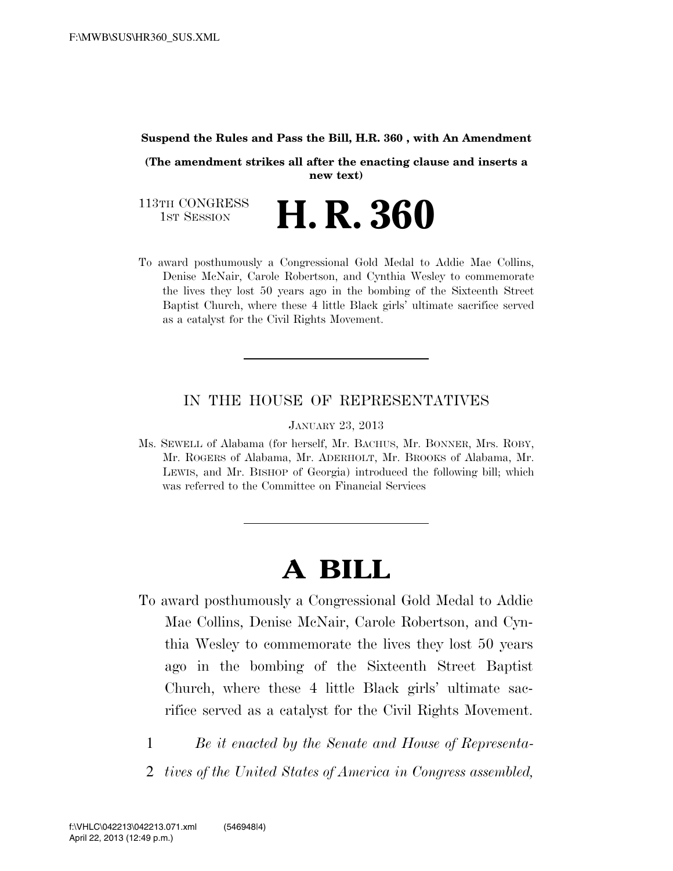#### **Suspend the Rules and Pass the Bill, H.R. 360 , with An Amendment**

**(The amendment strikes all after the enacting clause and inserts a new text)**

113TH CONGRESS **1st Session H. R. 360** 

To award posthumously a Congressional Gold Medal to Addie Mae Collins, Denise McNair, Carole Robertson, and Cynthia Wesley to commemorate the lives they lost 50 years ago in the bombing of the Sixteenth Street Baptist Church, where these 4 little Black girls' ultimate sacrifice served as a catalyst for the Civil Rights Movement.

#### IN THE HOUSE OF REPRESENTATIVES

JANUARY 23, 2013

Ms. SEWELL of Alabama (for herself, Mr. BACHUS, Mr. BONNER, Mrs. ROBY, Mr. ROGERS of Alabama, Mr. ADERHOLT, Mr. BROOKS of Alabama, Mr. LEWIS, and Mr. BISHOP of Georgia) introduced the following bill; which was referred to the Committee on Financial Services

# **A BILL**

- To award posthumously a Congressional Gold Medal to Addie Mae Collins, Denise McNair, Carole Robertson, and Cynthia Wesley to commemorate the lives they lost 50 years ago in the bombing of the Sixteenth Street Baptist Church, where these 4 little Black girls' ultimate sacrifice served as a catalyst for the Civil Rights Movement.
	- 1 *Be it enacted by the Senate and House of Representa-*
	- 2 *tives of the United States of America in Congress assembled,*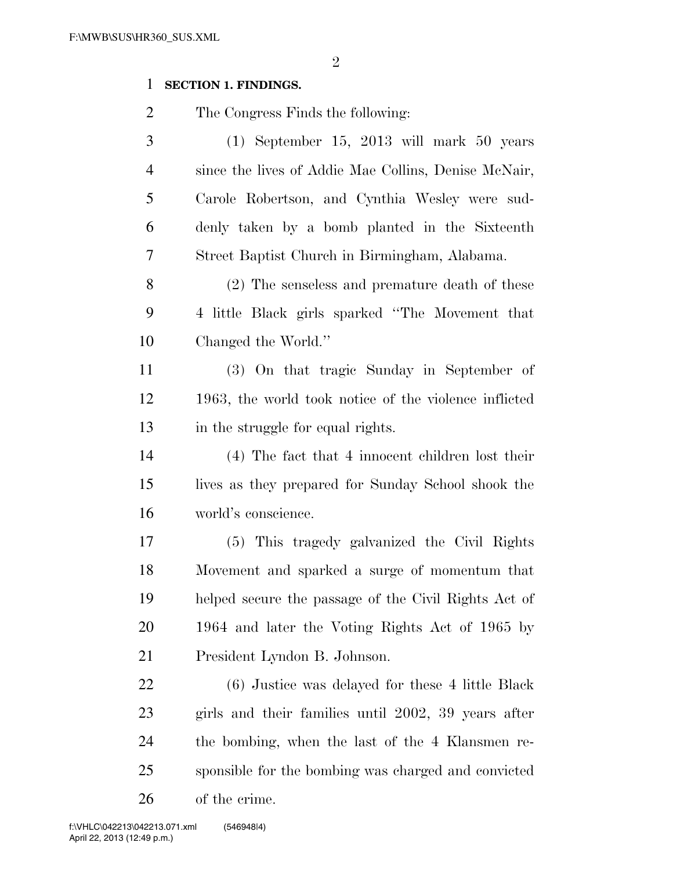# **SECTION 1. FINDINGS.**

The Congress Finds the following:

 (1) September 15, 2013 will mark 50 years since the lives of Addie Mae Collins, Denise McNair, Carole Robertson, and Cynthia Wesley were sud- denly taken by a bomb planted in the Sixteenth Street Baptist Church in Birmingham, Alabama.

 (2) The senseless and premature death of these 4 little Black girls sparked ''The Movement that Changed the World.''

 (3) On that tragic Sunday in September of 1963, the world took notice of the violence inflicted 13 in the struggle for equal rights.

 (4) The fact that 4 innocent children lost their lives as they prepared for Sunday School shook the world's conscience.

 (5) This tragedy galvanized the Civil Rights Movement and sparked a surge of momentum that helped secure the passage of the Civil Rights Act of 1964 and later the Voting Rights Act of 1965 by President Lyndon B. Johnson.

 (6) Justice was delayed for these 4 little Black girls and their families until 2002, 39 years after the bombing, when the last of the 4 Klansmen re- sponsible for the bombing was charged and convicted of the crime.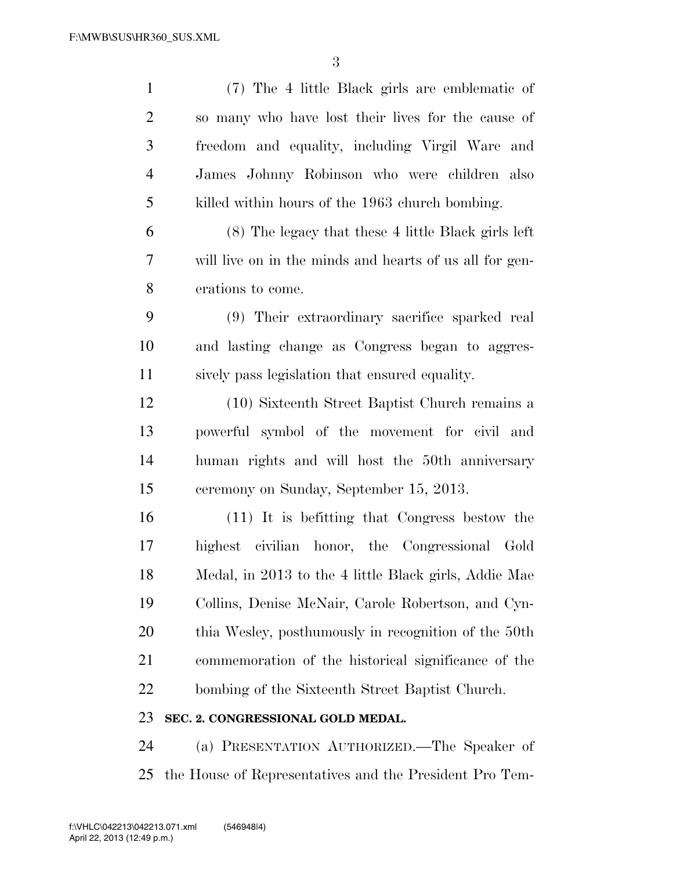| $\mathbf{1}$   | (7) The 4 little Black girls are emblematic of          |
|----------------|---------------------------------------------------------|
| $\overline{2}$ | so many who have lost their lives for the cause of      |
| 3              | freedom and equality, including Virgil Ware and         |
| $\overline{4}$ | James Johnny Robinson who were children also            |
| 5              | killed within hours of the 1963 church bombing.         |
| 6              | (8) The legacy that these 4 little Black girls left     |
| 7              | will live on in the minds and hearts of us all for gen- |
| 8              | erations to come.                                       |
| 9              | (9) Their extraordinary sacrifice sparked real          |
| 10             | and lasting change as Congress began to aggres-         |
| 11             | sively pass legislation that ensured equality.          |
| 12             | (10) Sixteenth Street Baptist Church remains a          |
| 13             | powerful symbol of the movement for civil and           |
| 14             | human rights and will host the 50th anniversary         |
| 15             | ceremony on Sunday, September 15, 2013.                 |
| 16             | (11) It is befitting that Congress bestow the           |
| 17             | highest civilian honor, the Congressional Gold          |
| 18             | Medal, in 2013 to the 4 little Black girls, Addie Mae   |
| 19             | Collins, Denise McNair, Carole Robertson, and Cyn-      |
| 20             | thia Wesley, posthumously in recognition of the 50th    |
| 21             | commemoration of the historical significance of the     |
| 22             | bombing of the Sixteenth Street Baptist Church.         |
| 23             | SEC. 2. CONGRESSIONAL GOLD MEDAL.                       |
| 24             | (a) PRESENTATION AUTHORIZED.—The Speaker of             |

the House of Representatives and the President Pro Tem-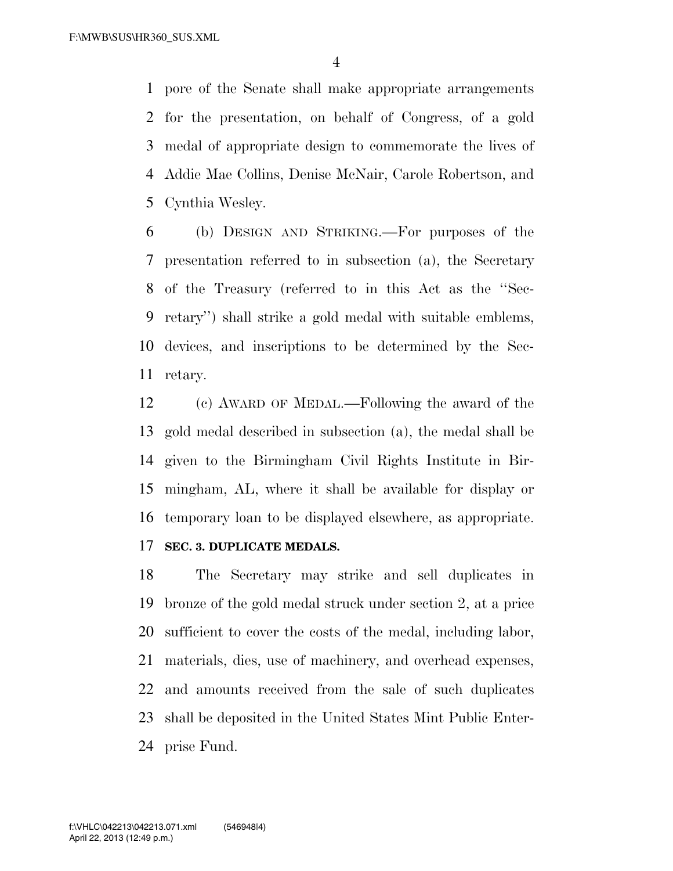pore of the Senate shall make appropriate arrangements for the presentation, on behalf of Congress, of a gold medal of appropriate design to commemorate the lives of Addie Mae Collins, Denise McNair, Carole Robertson, and Cynthia Wesley.

 (b) DESIGN AND STRIKING.—For purposes of the presentation referred to in subsection (a), the Secretary of the Treasury (referred to in this Act as the ''Sec- retary'') shall strike a gold medal with suitable emblems, devices, and inscriptions to be determined by the Sec-retary.

 (c) AWARD OF MEDAL.—Following the award of the gold medal described in subsection (a), the medal shall be given to the Birmingham Civil Rights Institute in Bir- mingham, AL, where it shall be available for display or temporary loan to be displayed elsewhere, as appropriate.

# **SEC. 3. DUPLICATE MEDALS.**

 The Secretary may strike and sell duplicates in bronze of the gold medal struck under section 2, at a price sufficient to cover the costs of the medal, including labor, materials, dies, use of machinery, and overhead expenses, and amounts received from the sale of such duplicates shall be deposited in the United States Mint Public Enter-prise Fund.